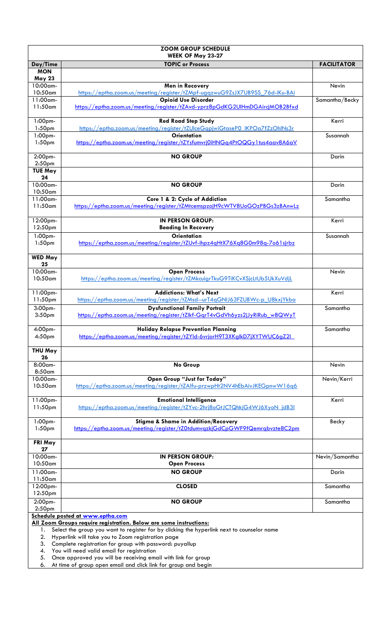| <b>ZOOM GROUP SCHEDULE</b>                                                                                                                                  |                                                                                                                     |                    |  |  |
|-------------------------------------------------------------------------------------------------------------------------------------------------------------|---------------------------------------------------------------------------------------------------------------------|--------------------|--|--|
|                                                                                                                                                             | WEEK OF May 23-27<br><b>TOPIC or Process</b>                                                                        | <b>FACILITATOR</b> |  |  |
| Day/Time<br><b>MON</b>                                                                                                                                      |                                                                                                                     |                    |  |  |
| <b>May 23</b>                                                                                                                                               |                                                                                                                     |                    |  |  |
| 10:00am-                                                                                                                                                    | Men in Recovery                                                                                                     | Nevin              |  |  |
| 10:50am                                                                                                                                                     | https://eptha.zoom.us/meeting/register/tZMpf-ugqzwuG9ZsJX7UB9SS_76d-iKu-BAi                                         |                    |  |  |
| 11:00am-                                                                                                                                                    | <b>Opioid Use Disorder</b>                                                                                          | Samantha/Becky     |  |  |
| $11:50$ am                                                                                                                                                  | https://eptha.zoom.us/meeting/register/tZAvd-yprz8pGdKG2UlHmDGAircjMOB2Bfxd                                         |                    |  |  |
| $1:00$ pm-                                                                                                                                                  | <b>Red Road Step Study</b>                                                                                          | Kerri              |  |  |
| 1:50 <sub>pm</sub><br>1:00pm-                                                                                                                               | https://eptha.zoom.us/meeting/register/tZUlceGqpjwiGtaseP0_IKPOa7fZzOhlNs3r<br><b>Orientation</b>                   | Susannah           |  |  |
| 1:50 <sub>pm</sub>                                                                                                                                          | https://eptha.zoom.us/meeting/register/tZYsfumvrj0iHNGg4PtOQGy1tus4aav8A6aV                                         |                    |  |  |
| 2:00pm-<br>2:50 <sub>pm</sub>                                                                                                                               | <b>NO GROUP</b>                                                                                                     | Darin              |  |  |
| <b>TUE May</b>                                                                                                                                              |                                                                                                                     |                    |  |  |
| 24                                                                                                                                                          |                                                                                                                     |                    |  |  |
| 10:00am-<br>10:50am                                                                                                                                         | <b>NO GROUP</b>                                                                                                     | Darin              |  |  |
| 11:00am-                                                                                                                                                    | Core 1 & 2: Cycle of Addiction                                                                                      | Samantha           |  |  |
| 11:50am                                                                                                                                                     | https://eptha.zoom.us/meeting/register/tZMtcemspzojH9cWTV8UoGOzPBGs3zBAnwLz                                         |                    |  |  |
| 12:00pm-<br>12:50pm                                                                                                                                         | <b>IN PERSON GROUP:</b><br><b>Beading In Recovery</b>                                                               | Kerri              |  |  |
| 1:00pm-                                                                                                                                                     | <b>Orientation</b>                                                                                                  | Susannah           |  |  |
| 1:50 <sub>pm</sub>                                                                                                                                          | https://eptha.zoom.us/meeting/register/tZUvf-ihpz4qHtX76Xq8G0m98q-7o61sjrbz                                         |                    |  |  |
| <b>WED May</b><br>25                                                                                                                                        |                                                                                                                     |                    |  |  |
| 10:00am-                                                                                                                                                    | <b>Open Process</b>                                                                                                 | Nevin              |  |  |
| $10:50$ am                                                                                                                                                  | https://eptha.zoom.us/meeting/register/tZMkcuigrTkuG9TiKCvXSjcLtUb5UkXuVdjL                                         |                    |  |  |
| 11:00pm-                                                                                                                                                    | <b>Addictions: What's Next</b>                                                                                      | Kerri              |  |  |
| 11:50pm                                                                                                                                                     | https://eptha.zoom.us/meeting/register/tZMsd--urT4qGNIJ63FZUBWc-p_U8kxjYkba                                         |                    |  |  |
| 3:00pm-<br>3:50 <sub>pm</sub>                                                                                                                               | <b>Dysfunctional Family Portrait</b><br>https://eptha.zoom.us/meeting/register/tZlkf-GgrT4vGdVh6yzs2jJyRiRub_w8QWyT | Samantha           |  |  |
| 4:00pm-                                                                                                                                                     | <b>Holiday Relanse Prevention Planning</b>                                                                          | Samantha           |  |  |
| 4:50 <sub>pm</sub>                                                                                                                                          | https://eptha.zoom.us/meeting/register/tZYId-6vrjorH9T3XKglkD7jXYTWUC6gZ2I                                          |                    |  |  |
| <b>THU May</b><br>26                                                                                                                                        |                                                                                                                     |                    |  |  |
| 8:00am-<br>8:50am                                                                                                                                           | No Group                                                                                                            | Nevin              |  |  |
| 10:00am-                                                                                                                                                    | <b>Open Group "Just for Today"</b>                                                                                  | Nevin/Kerri        |  |  |
| 10:50am                                                                                                                                                     | https://eptha.zoom.us/meeting/register/tZAlfu-przwpHt2NV4hEbAivJKEGpnwW16q6                                         |                    |  |  |
| 11:00pm-                                                                                                                                                    | <b>Emotional Intelligence</b>                                                                                       | Kerri              |  |  |
| 11:50 <sub>pm</sub>                                                                                                                                         | https://eptha.zoom.us/meeting/register/tZYvc-2hrj8oGtJCTQhkjG4WJ6XyoN_jdB3I                                         |                    |  |  |
| 1:00pm-                                                                                                                                                     | Stigma & Shame in Addition/Recovery                                                                                 | Becky              |  |  |
| 1:50 <sub>pm</sub>                                                                                                                                          | https://eptha.zoom.us/meeting/register/tZ0tdumvgzkjGdCpGWF9fQemrgbvzte8C2pm                                         |                    |  |  |
| FRI May<br>27                                                                                                                                               |                                                                                                                     |                    |  |  |
| 10:00am-                                                                                                                                                    | <b>IN PERSON GROUP:</b>                                                                                             | Nevin/Samantha     |  |  |
| 10:50am                                                                                                                                                     | <b>Open Process</b>                                                                                                 |                    |  |  |
| $11:00$ am-                                                                                                                                                 | <b>NO GROUP</b>                                                                                                     | Darin              |  |  |
| 11:50am                                                                                                                                                     |                                                                                                                     |                    |  |  |
| 12:00pm-                                                                                                                                                    | <b>CLOSED</b>                                                                                                       | Samantha           |  |  |
| 12:50pm<br>2:00pm-                                                                                                                                          | <b>NO GROUP</b>                                                                                                     | Samantha           |  |  |
| 2:50 <sub>pm</sub>                                                                                                                                          |                                                                                                                     |                    |  |  |
| Schedule posted at www.eptha.com                                                                                                                            |                                                                                                                     |                    |  |  |
| All Zoom Groups require registration. Below are some instructions:                                                                                          |                                                                                                                     |                    |  |  |
| Select the group you want to register for by clicking the hyperlink next to counselor name<br>1.<br>2.<br>Hyperlink will take you to Zoom registration page |                                                                                                                     |                    |  |  |
| Complete registration for group with password: puyallup<br>3.                                                                                               |                                                                                                                     |                    |  |  |
| 4.                                                                                                                                                          | You will need valid email for registration                                                                          |                    |  |  |
| Once approved you will be receiving email with link for group<br>5.                                                                                         |                                                                                                                     |                    |  |  |
| 6.                                                                                                                                                          | At time of group open email and click link for group and begin                                                      |                    |  |  |